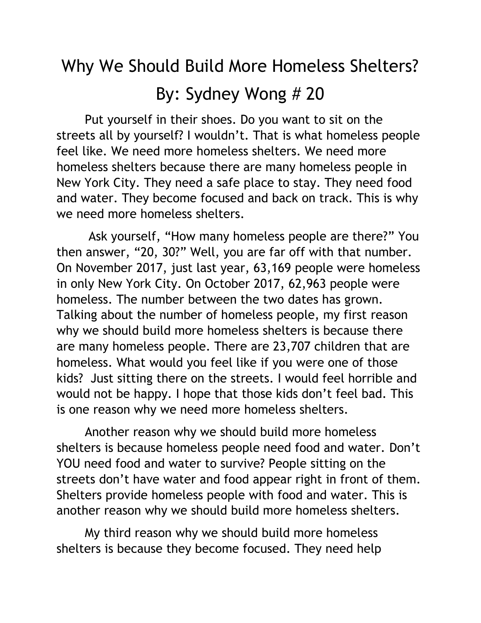## Why We Should Build More Homeless Shelters? By: Sydney Wong # 20

Put yourself in their shoes. Do you want to sit on the streets all by yourself? I wouldn't. That is what homeless people feel like. We need more homeless shelters. We need more homeless shelters because there are many homeless people in New York City. They need a safe place to stay. They need food and water. They become focused and back on track. This is why we need more homeless shelters.

Ask yourself, "How many homeless people are there?" You then answer, "20, 30?" Well, you are far off with that number. On November 2017, just last year, 63,169 people were homeless in only New York City. On October 2017, 62,963 people were homeless. The number between the two dates has grown. Talking about the number of homeless people, my first reason why we should build more homeless shelters is because there are many homeless people. There are 23,707 children that are homeless. What would you feel like if you were one of those kids? Just sitting there on the streets. I would feel horrible and would not be happy. I hope that those kids don't feel bad. This is one reason why we need more homeless shelters.

Another reason why we should build more homeless shelters is because homeless people need food and water. Don't YOU need food and water to survive? People sitting on the streets don't have water and food appear right in front of them. Shelters provide homeless people with food and water. This is another reason why we should build more homeless shelters.

My third reason why we should build more homeless shelters is because they become focused. They need help